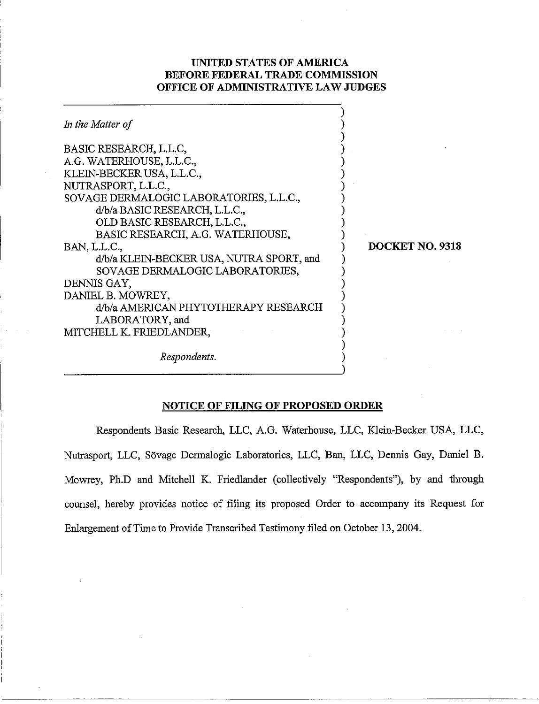## **UNITED STATES OF AMERICA BEFORE FEDERAL TRADE COMMISSION OFFICE OF ADMINISTRATIVE LAW JUDGES**

| In the Matter of                                                                                                                                             |                 |
|--------------------------------------------------------------------------------------------------------------------------------------------------------------|-----------------|
| BASIC RESEARCH, L.L.C.<br>A.G. WATERHOUSE, L.L.C.,<br>KLEIN-BECKER USA, L.L.C.,<br>NUTRASPORT, L.L.C.,<br>SOVAGE DERMALOGIC LABORATORIES, L.L.C.,            |                 |
| d/b/a BASIC RESEARCH, L.L.C.,<br>OLD BASIC RESEARCH, L.L.C.,<br>BASIC RESEARCH, A.G. WATERHOUSE,<br>BAN, L.L.C.,<br>d/b/a KLEIN-BECKER USA, NUTRA SPORT, and | DOCKET NO. 9318 |
| SOVAGE DERMALOGIC LABORATORIES,<br>DENNIS GAY,<br>DANIEL B. MOWREY,<br>d/b/a AMERICAN PHYTOTHERAPY RESEARCH                                                  |                 |
| LABORATORY, and<br>MITCHELL K. FRIEDLANDER,                                                                                                                  |                 |
| Respondents.                                                                                                                                                 |                 |

# **NOTICE OF FILING OF PROPOSED ORDER**

∋

Respondents Basic Research, LLC, A.G. Waterhouse, LLC, Klein-Becker USA, LLC, Nutrasport, LLC, Sovage Dermalogic Laboratories, LLC, Ban, LLC, Dennis Gay, Daniel B. Mowrey, Ph.D and Mitchell K. Friedlander (collectively "Respondents"), by and through counsel, hereby provides notice of filing its proposed Order to accompany its Request for Enlargement of Time to Provide Transcribed Testimony filed on October 13,2004.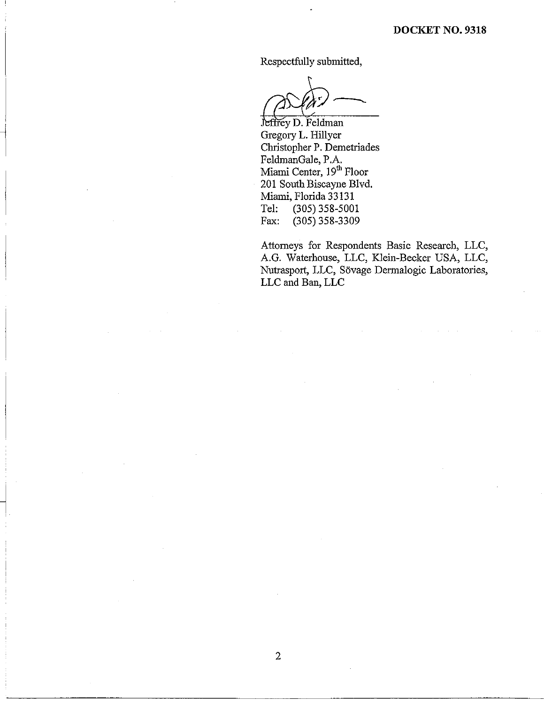Respectfully submitted,

**P** 

Jeffrey D. Feldman Gregory L. Hillyer Christopher P. Demetriades FeldmanGale, P.A. Miami Center, 19<sup>m</sup> Floor 201 South Biscayne Blvd. Miami, Florida 33131<br>Tel: (305) 358-500 Tel: (305) 358-5001<br>Fax: (305) 358-3309  $(305)$  358-3309

 $\mathbf{2}$ 

Attorneys for Respondents Basic Research, LLC, A.G. Waterhouse, LLC, Klein-Becker USA, LLC, Nutrasport, LLC, Sovage Dermalogic Laboratories, LLC and Ban, LLC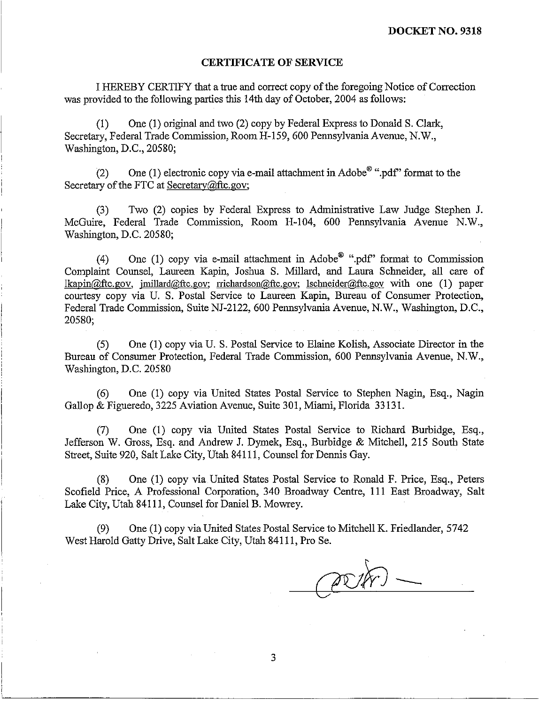#### **CERTIFICATE OF SERVICE**

I HEREBY CERTIFY that a true and correct copy of the foregoing Notice of Correction was provided to the following parties this 14th day of October, 2004 as follows:

(I) One (1) original and two (2) copy by Federal Express to Donald S. Clark, Secretary, Federal Trade Commission, Room H-159, 600 Pennsylvania Avenue, N.W., Waslington, D.C., 20580;

(2) One (1) electronic copy via e-mail attachment in Adobe<sup>®</sup> ".pdf" format to the Secretary of the FTC at Secretary@ftc.gov;

(3) Two (2) copies by Federal Express to Administrative Law Judge Stephen J. McGuire, Federal Trade Commission, Room H-104, 600 Pennsylvania Avenue N.W., Washington, D.C. 20580;

(4) One (1) copy via e-mail attachment in Adobe<sup>®</sup> ".pdf" format to Commission Complaint Counsel, Laureen Kapin, Joshua S. Millard, and Laura Scheider, all care of  $lkapin@ftc.gov, imillard@ftc.gov; richardson@ftc.gov; lschneider@ftc.gov with one (1) paper$ courtesy copy via U. S. Postal Service to Laureen Kapin, Bureau of Consumer Protection, Federal Trade Commission, Suite NJ-2122, 600 Pennsylvania Avenue, N.W., Washington, D.C., 20580;

(5) One (1) copy via U. S. Postal Service to Elaine Kolish, Associate Director in the Bureau of Consumer Protection, Federal Trade Commission, 600 Pennsylvania Avenue, N.W., Washington, D.C. 20580

(6) One (1) copy via United States Postal Service to Stephen Nagin, Esq., Nagin Gallop & Figueredo, 3225 Aviation Avenue, Suite 301, Miami, Florida 33 131.

(7) One (1) copy via United States Postal Service to Richard Burbidge, Esq., Jefferson W. Gross, Esq. and Andrew J. Dymek, Esq., Burbidge & Mitchell, 215 South State Street, Suite 920, Salt Lake City, Utah 84111, Counsel for Dennis Gay.

(8) One (1) copy via United States Postal Service to Ronald F. Price, Esq., Peters Scofield Price, A Professional Corporation, 340 Broadway Centre, 111 East Broadway, Salt Lake City, Utah 841 11, Counsel for Daniel B. Mowrey.

(9) One (1) copy via United States Postal Service to Mitchell K. Friedlander, 5742 West Harold Gatty Drive, Salt Lake City, Utah 841 11, Pro Se.

3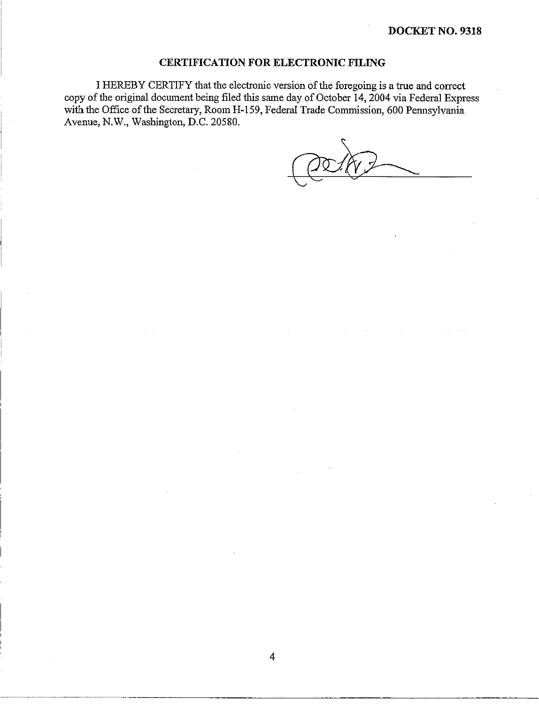### **CERTIFICATION FOR ELECTRONIC FILING**

I

I HEREBY CERTIFY that the electronic version of the foregoing is a true and correct copy of the original document being filed this same day of October 14, 2004 via Federal Express with the Office of the Secretary, Room H-159, Federal Trade Commission, 600 Pennsylvania Avenue, N.W., Washington, D.C. 20580.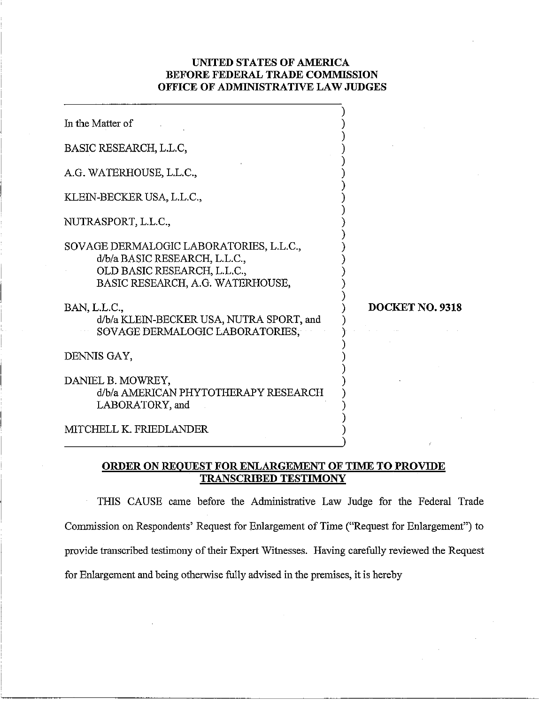## **UNITED STATES OF AMERICA BEFORE FEDERAL TRADE COMMISSION OFFICE OF ADMINISTRATIVE LAW JUDGES**

٦

| In the Matter of                                                                                                                            |                 |
|---------------------------------------------------------------------------------------------------------------------------------------------|-----------------|
| BASIC RESEARCH, L.L.C,                                                                                                                      |                 |
| A.G. WATERHOUSE, L.L.C.,                                                                                                                    |                 |
| KLEIN-BECKER USA, L.L.C.,                                                                                                                   |                 |
| NUTRASPORT, L.L.C.,                                                                                                                         |                 |
| SOVAGE DERMALOGIC LABORATORIES, L.L.C.,<br>d/b/a BASIC RESEARCH, L.L.C.,<br>OLD BASIC RESEARCH, L.L.C.,<br>BASIC RESEARCH, A.G. WATERHOUSE, |                 |
| BAN, L.L.C.,<br>d/b/a KLEIN-BECKER USA, NUTRA SPORT, and<br>SOVAGE DERMALOGIC LABORATORIES,                                                 | DOCKET NO. 9318 |
| DENNIS GAY,                                                                                                                                 |                 |
| DANIEL B. MOWREY,<br>d/b/a AMERICAN PHYTOTHERAPY RESEARCH<br>LABORATORY, and                                                                |                 |
| MITCHELL K. FRIEDLANDER                                                                                                                     |                 |

## **ORDER ON REOUEST FOR EMLARGEMENT OF TIME TO PROVIDE TRANSCRIBED TESTIMONY**

THIS CAUSE came before the Administrative Law Judge for the Federal Trade Commission on Respondents' Request for Enlargement of Time ("Request for Enlargement") to provide transcribed testimony of their Expert Witnesses. Having carefully reviewed the Request for Enlargement and being otherwise fully advised in the premises, it is hereby